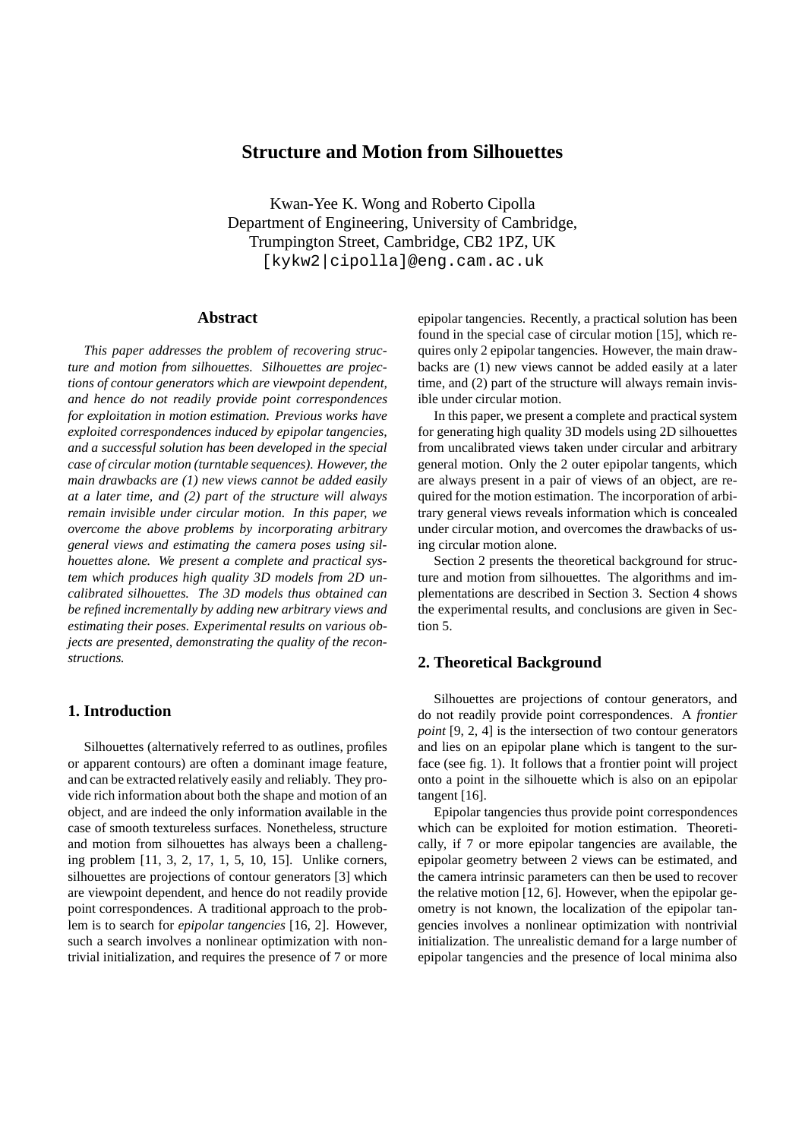# **Structure and Motion from Silhouettes**

Kwan-Yee K. Wong and Roberto Cipolla Department of Engineering, University of Cambridge, Trumpington Street, Cambridge, CB2 1PZ, UK [kykw2|cipolla]@eng.cam.ac.uk

### **Abstract**

*This paper addresses the problem of recovering structure and motion from silhouettes. Silhouettes are projections of contour generators which are viewpoint dependent, and hence do not readily provide point correspondences for exploitation in motion estimation. Previous works have exploited correspondences induced by epipolar tangencies, and a successful solution has been developed in the special case of circular motion (turntable sequences). However, the main drawbacks are (1) new views cannot be added easily at a later time, and (2) part of the structure will always remain invisible under circular motion. In this paper, we overcome the above problems by incorporating arbitrary general views and estimating the camera poses using silhouettes alone. We present a complete and practical system which produces high quality 3D models from 2D uncalibrated silhouettes. The 3D models thus obtained can be refined incrementally by adding new arbitrary views and estimating their poses. Experimental results on various objects are presented, demonstrating the quality of the reconstructions.*

### **1. Introduction**

Silhouettes (alternatively referred to as outlines, profiles or apparent contours) are often a dominant image feature, and can be extracted relatively easily and reliably. They provide rich information about both the shape and motion of an object, and are indeed the only information available in the case of smooth textureless surfaces. Nonetheless, structure and motion from silhouettes has always been a challenging problem [11, 3, 2, 17, 1, 5, 10, 15]. Unlike corners, silhouettes are projections of contour generators [3] which are viewpoint dependent, and hence do not readily provide point correspondences. A traditional approach to the problem is to search for *epipolar tangencies* [16, 2]. However, such a search involves a nonlinear optimization with nontrivial initialization, and requires the presence of 7 or more epipolar tangencies. Recently, a practical solution has been found in the special case of circular motion [15], which requires only 2 epipolar tangencies. However, the main drawbacks are (1) new views cannot be added easily at a later time, and (2) part of the structure will always remain invisible under circular motion.

In this paper, we present a complete and practical system for generating high quality 3D models using 2D silhouettes from uncalibrated views taken under circular and arbitrary general motion. Only the 2 outer epipolar tangents, which are always present in a pair of views of an object, are required for the motion estimation. The incorporation of arbitrary general views reveals information which is concealed under circular motion, and overcomes the drawbacks of using circular motion alone.

Section 2 presents the theoretical background for structure and motion from silhouettes. The algorithms and implementations are described in Section 3. Section 4 shows the experimental results, and conclusions are given in Section 5.

#### **2. Theoretical Background**

Silhouettes are projections of contour generators, and do not readily provide point correspondences. A *frontier point* [9, 2, 4] is the intersection of two contour generators and lies on an epipolar plane which is tangent to the surface (see fig. 1). It follows that a frontier point will project onto a point in the silhouette which is also on an epipolar tangent [16].

Epipolar tangencies thus provide point correspondences which can be exploited for motion estimation. Theoretically, if 7 or more epipolar tangencies are available, the epipolar geometry between 2 views can be estimated, and the camera intrinsic parameters can then be used to recover the relative motion [12, 6]. However, when the epipolar geometry is not known, the localization of the epipolar tangencies involves a nonlinear optimization with nontrivial initialization. The unrealistic demand for a large number of epipolar tangencies and the presence of local minima also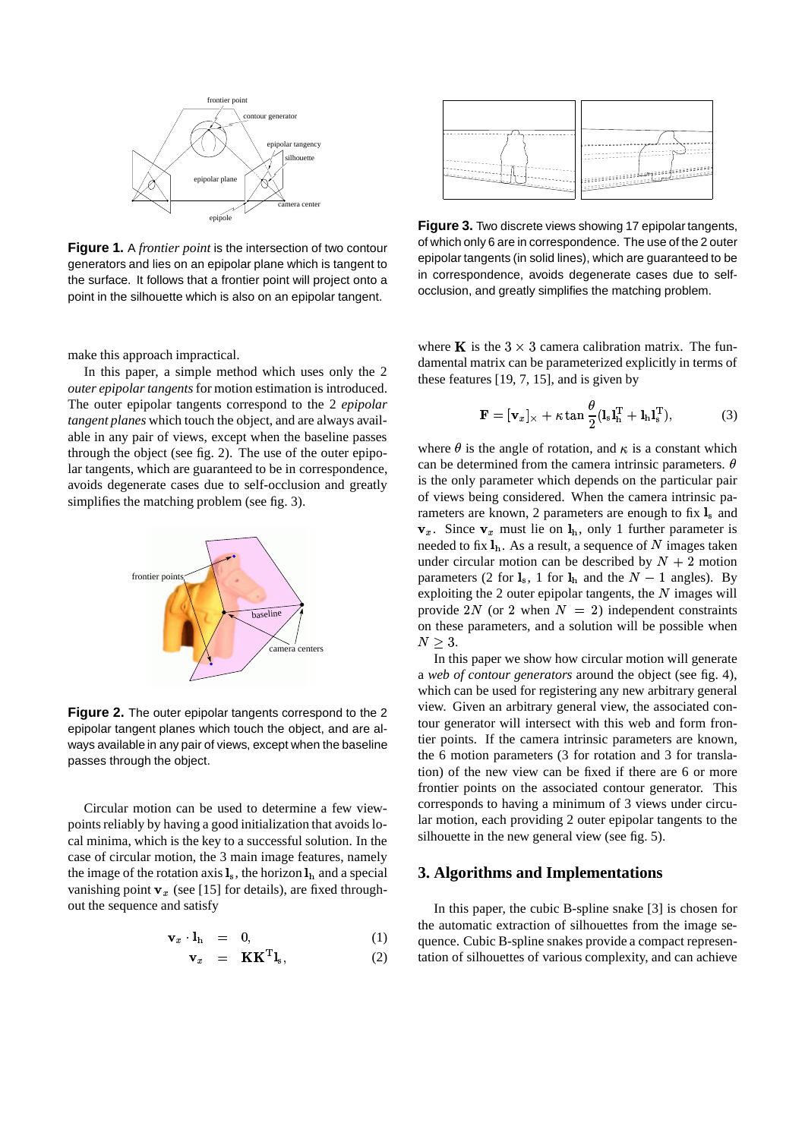

**Figure 1.** A *frontier point* is the intersection of two contour generators and lies on an epipolar plane which is tangent to the surface. It follows that a frontier point will project onto a point in the silhouette which is also on an epipolar tangent.

make this approach impractical.

In this paper, a simple method which uses only the 2 *outer epipolar tangents* for motion estimation is introduced. The outer epipolar tangents correspond to the 2 *epipolar tangent planes* which touch the object, and are always available in any pair of views, except when the baseline passes through the object (see fig. 2). The use of the outer epipolar tangents, which are guaranteed to be in correspondence, avoids degenerate cases due to self-occlusion and greatly simplifies the matching problem (see fig. 3).



**Figure 2.** The outer epipolar tangents correspond to the 2 epipolar tangent planes which touch the object, and are always available in any pair of views, except when the baseline passes through the object.

Circular motion can be used to determine a few viewpoints reliably by having a good initialization that avoids local minima, which is the key to a successful solution. In the case of circular motion, the 3 main image features, namely the image of the rotation axis  $\mathbf{l}_s$ , the horizon  $\mathbf{l}_h$  and a special vanishing point  $v_x$  (see [15] for details), are fixed throughout the sequence and satisfy

$$
\mathbf{v}_x \cdot \mathbf{l}_h = 0, \tag{1}
$$

$$
\mathbf{v}_x = \mathbf{K} \mathbf{K}^{\mathrm{T}} \mathbf{l}_s, \tag{2}
$$



**Figure 3.** Two discrete views showing 17 epipolar tangents, of which only 6 are in correspondence. The use of the 2 outer epipolar tangents (in solid lines), which are guaranteed to be in correspondence, avoids degenerate cases due to selfocclusion, and greatly simplifies the matching problem.

where **K** is the  $3 \times 3$  camera calibration matrix. The fundamental matrix can be parameterized explicitly in terms of these features [19, 7, 15], and is given by

$$
\mathbf{F} = [\mathbf{v}_x]_{\times} + \kappa \tan \frac{\theta}{2} (\mathbf{l}_s \mathbf{l}_h^{\mathrm{T}} + \mathbf{l}_h \mathbf{l}_s^{\mathrm{T}}), \tag{3}
$$

where  $\theta$  is the angle of rotation, and  $\kappa$  is a constant which can be determined from the camera intrinsic parameters.  $\theta$ is the only parameter which depends on the particular pair of views being considered. When the camera intrinsic parameters are known, 2 parameters are enough to fix  $\mathbf{l}_s$  and  $v_x$ . Since  $v_x$  must lie on  $l_h$ , only 1 further parameter is needed to fix  $\mathbf{l}_h$ . As a result, a sequence of N images taken under circular motion can be described by  $N + 2$  motion parameters (2 for  $\mathbf{l}_s$ , 1 for  $\mathbf{l}_h$  and the  $N-1$  angles). By exploiting the 2 outer epipolar tangents, the  $N$  images will provide 2N (or 2 when  $N = 2$ ) independent constraints on these parameters, and a solution will be possible when  $N\geq 3.$ 

In this paper we show how circular motion will generate a *web of contour generators* around the object (see fig. 4), which can be used for registering any new arbitrary general view. Given an arbitrary general view, the associated contour generator will intersect with this web and form frontier points. If the camera intrinsic parameters are known, the 6 motion parameters (3 for rotation and 3 for translation) of the new view can be fixed if there are 6 or more frontier points on the associated contour generator. This corresponds to having a minimum of 3 views under circular motion, each providing 2 outer epipolar tangents to the silhouette in the new general view (see fig. 5).

#### **3. Algorithms and Implementations**

In this paper, the cubic B-spline snake [3] is chosen for the automatic extraction of silhouettes from the image sequence. Cubic B-spline snakes provide a compact representation of silhouettes of various complexity, and can achieve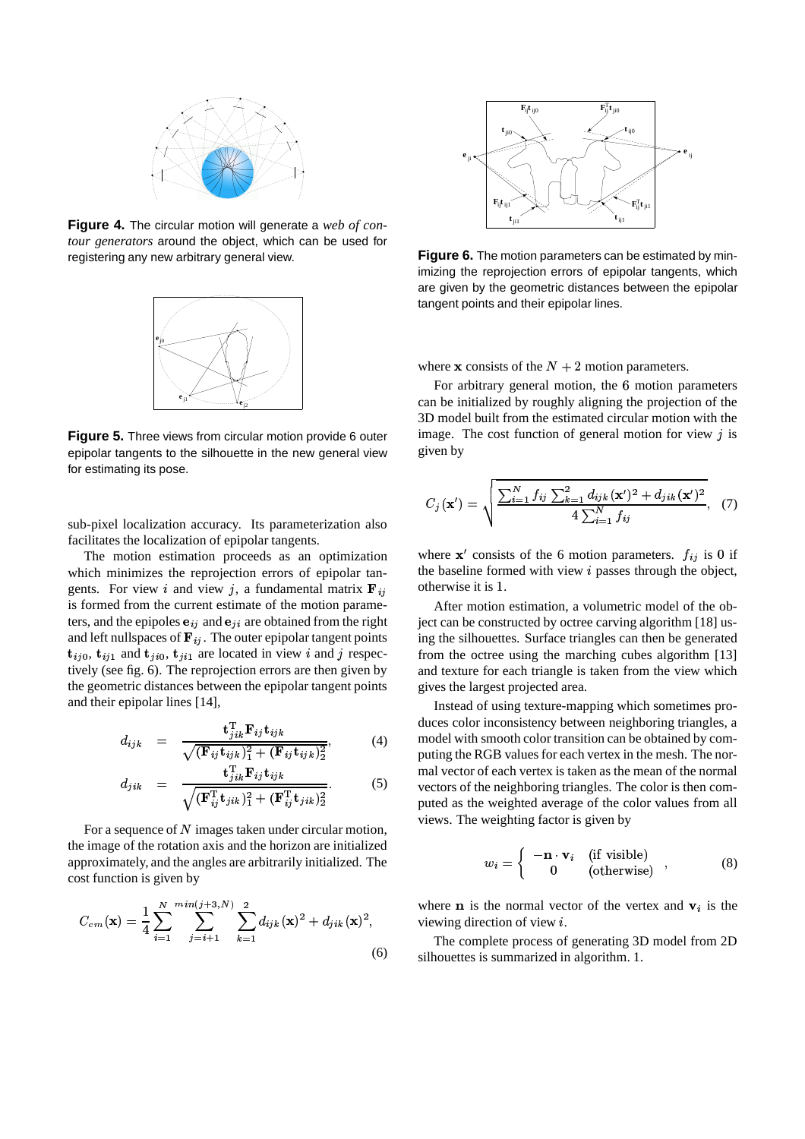

**Figure 4.** The circular motion will generate a *web of contour generators* around the object, which can be used for registering any new arbitrary general view.



**Figure 5.** Three views from circular motion provide 6 outer epipolar tangents to the silhouette in the new general view for estimating its pose.

sub-pixel localization accuracy. Its parameterization also facilitates the localization of epipolar tangents.

The motion estimation proceeds as an optimization which minimizes the reprojection errors of epipolar tangents. For view *i* and view *j*, a fundamental matrix  $\mathbf{F}_{ij}$  c is formed from the current estimate of the motion parameters, and the epipoles  $e_{ij}$  and  $e_{ji}$  are obtained from the right and left nullspaces of  $\mathbf{F}_{ij}$ . The outer epipolar tangent points  ${\bf t}_{ij0}$ ,  ${\bf t}_{ij1}$  and  ${\bf t}_{ji0}$ ,  ${\bf t}_{ji1}$  are located in view i and j respectively (see fig. 6). The reprojection errors are then given by the geometric distances between the epipolar tangent points and their epipolar lines [14],

$$
d_{ijk} = \frac{\mathbf{t}_{jik}^{\mathrm{T}} \mathbf{F}_{ij} \mathbf{t}_{ijk}}{\sqrt{(\mathbf{F}_{ij} \mathbf{t}_{ijk})_1^2 + (\mathbf{F}_{ij} \mathbf{t}_{ijk})_2^2}},
$$
(4)

$$
d_{jik} = \frac{\mathbf{t}_{jik}^{\mathrm{T}} \mathbf{F}_{ij} \mathbf{t}_{ijk}}{\sqrt{(\mathbf{F}_{ij}^{\mathrm{T}} \mathbf{t}_{jik})_1^2 + (\mathbf{F}_{ij}^{\mathrm{T}} \mathbf{t}_{jik})_2^2}}.
$$
 (5)

For a sequence of  $N$  images taken under circular motion, the image of the rotation axis and the horizon are initialized approximately, and the angles are arbitrarily initialized. The cost function is given by

$$
C_{cm}(\mathbf{x}) = \frac{1}{4} \sum_{i=1}^{N} \sum_{j=i+1}^{min(j+3,N)} \sum_{k=1}^{2} d_{ijk}(\mathbf{x})^2 + d_{jik}(\mathbf{x})^2,
$$
\n(6)



**Figure 6.** The motion parameters can be estimated by minimizing the reprojection errors of epipolar tangents, which are given by the geometric distances between the epipolar tangent points and their epipolar lines.

where **x** consists of the  $N + 2$  motion parameters.

For arbitrary general motion, the 6 motion parameters can be initialized by roughly aligning the projection of the 3D model built from the estimated circular motion with the image. The cost function of general motion for view  $j$  is given by

$$
C_j(\mathbf{x}') = \sqrt{\frac{\sum_{i=1}^N f_{ij} \sum_{k=1}^2 d_{ijk} (\mathbf{x}')^2 + d_{jik} (\mathbf{x}')^2}{4 \sum_{i=1}^N f_{ij}}}, \quad (7)
$$

where  $x'$  consists of the 6 motion parameters.  $f_{ij}$  is 0 if the baseline formed with view  $i$  passes through the object, otherwise it is 1.

After motion estimation, a volumetric model of the object can be constructed by octree carving algorithm [18] using the silhouettes. Surface triangles can then be generated from the octree using the marching cubes algorithm [13] and texture for each triangle is taken from the view which gives the largest projected area.

Instead of using texture-mapping which sometimes produces color inconsistency between neighboring triangles, a model with smooth color transition can be obtained by computing the RGB values for each vertex in the mesh. The normal vector of each vertex is taken as the mean of the normal vectors of the neighboring triangles. The color is then computed as the weighted average of the color values from all views. The weighting factor is given by

$$
w_i = \begin{cases} -\mathbf{n} \cdot \mathbf{v}_i & \text{(if visible)}\\ 0 & \text{(otherwise)} \end{cases}, \tag{8}
$$

where **n** is the normal vector of the vertex and  $v_i$  is the viewing direction of view  $i$ .

The complete process of generating 3D model from 2D silhouettes is summarized in algorithm. 1.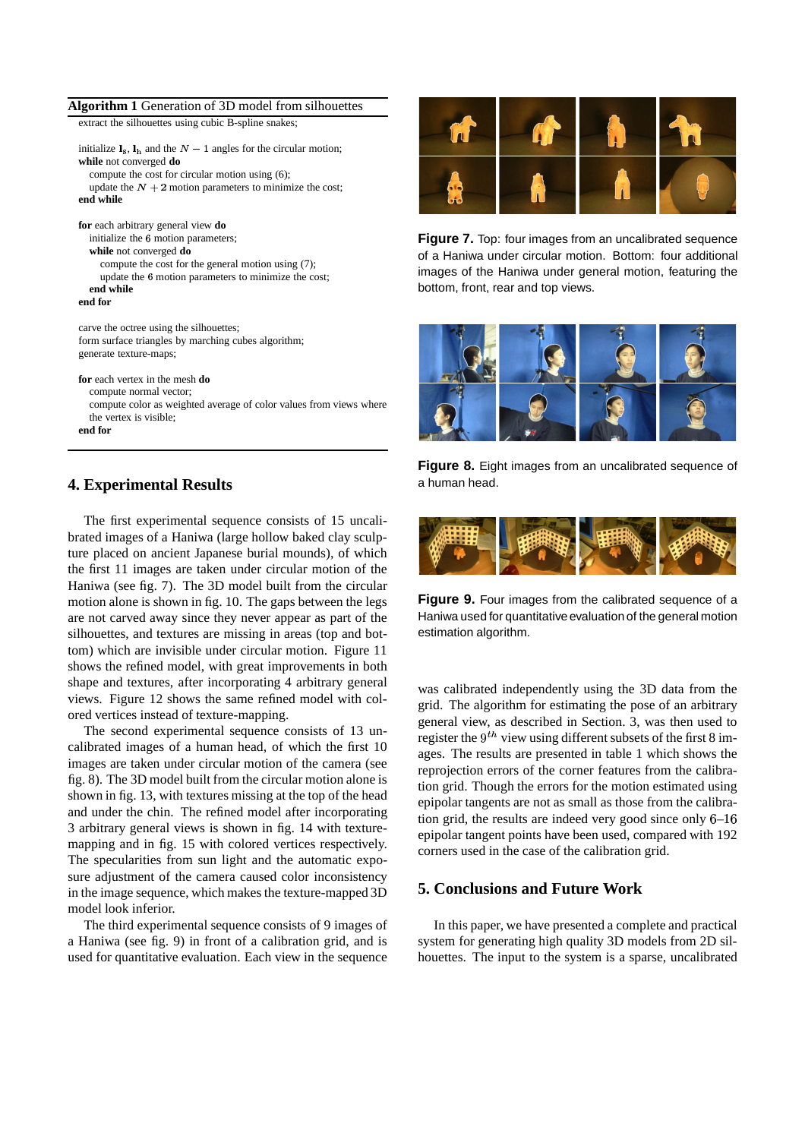#### **Algorithm 1** Generation of 3D model from silhouettes

extract the silhouettes using cubic B-spline snakes;

| initialize $\mathbf{l}_s$ , $\mathbf{l}_h$ and the $N-1$ angles for the circular motion; |
|------------------------------------------------------------------------------------------|
| while not converged do                                                                   |
| compute the cost for circular motion using (6);                                          |
| update the $N + 2$ motion parameters to minimize the cost;                               |
| end while                                                                                |
|                                                                                          |
| for each arbitrary general view do                                                       |
| initialize the 6 motion parameters;                                                      |
| while not converged do                                                                   |
| compute the cost for the general motion using (7);                                       |
| update the 6 motion parameters to minimize the cost;                                     |
| end while                                                                                |
| end for                                                                                  |
|                                                                                          |
| carve the octree using the silhouettes;                                                  |
| form surface triangles by marching cubes algorithm;                                      |
| generate texture-maps;                                                                   |
|                                                                                          |
| for each vertex in the mesh do                                                           |
| compute normal vector;                                                                   |
| compute color as weighted average of color values from views where                       |
| the vertex is visible;                                                                   |
| end for                                                                                  |

#### **4. Experimental Results**

The first experimental sequence consists of 15 uncalibrated images of a Haniwa (large hollow baked clay sculpture placed on ancient Japanese burial mounds), of which the first 11 images are taken under circular motion of the Haniwa (see fig. 7). The 3D model built from the circular motion alone is shown in fig. 10. The gaps between the legs are not carved away since they never appear as part of the silhouettes, and textures are missing in areas (top and bottom) which are invisible under circular motion. Figure 11 shows the refined model, with great improvements in both shape and textures, after incorporating 4 arbitrary general views. Figure 12 shows the same refined model with colored vertices instead of texture-mapping.

The second experimental sequence consists of 13 uncalibrated images of a human head, of which the first 10 images are taken under circular motion of the camera (see fig. 8). The 3D model built from the circular motion alone is shown in fig. 13, with textures missing at the top of the head and under the chin. The refined model after incorporating 3 arbitrary general views is shown in fig. 14 with texturemapping and in fig. 15 with colored vertices respectively. The specularities from sun light and the automatic exposure adjustment of the camera caused color inconsistency in the image sequence, which makes the texture-mapped 3D model look inferior.

The third experimental sequence consists of 9 images of a Haniwa (see fig. 9) in front of a calibration grid, and is used for quantitative evaluation. Each view in the sequence



**Figure 7.** Top: four images from an uncalibrated sequence of a Haniwa under circular motion. Bottom: four additional images of the Haniwa under general motion, featuring the bottom, front, rear and top views.



**Figure 8.** Eight images from an uncalibrated sequence of a human head.



**Figure 9.** Four images from the calibrated sequence of a Haniwa used for quantitative evaluation of the general motion estimation algorithm.

was calibrated independently using the 3D data from the grid. The algorithm for estimating the pose of an arbitrary general view, as described in Section. 3, was then used to register the  $9^{th}$  view using different subsets of the first 8 images. The results are presented in table 1 which shows the reprojection errors of the corner features from the calibration grid. Though the errors for the motion estimated using epipolar tangents are not as small as those from the calibration grid, the results are indeed very good since only  $6-16$ epipolar tangent points have been used, compared with 192 corners used in the case of the calibration grid.

## **5. Conclusions and Future Work**

In this paper, we have presented a complete and practical system for generating high quality 3D models from 2D silhouettes. The input to the system is a sparse, uncalibrated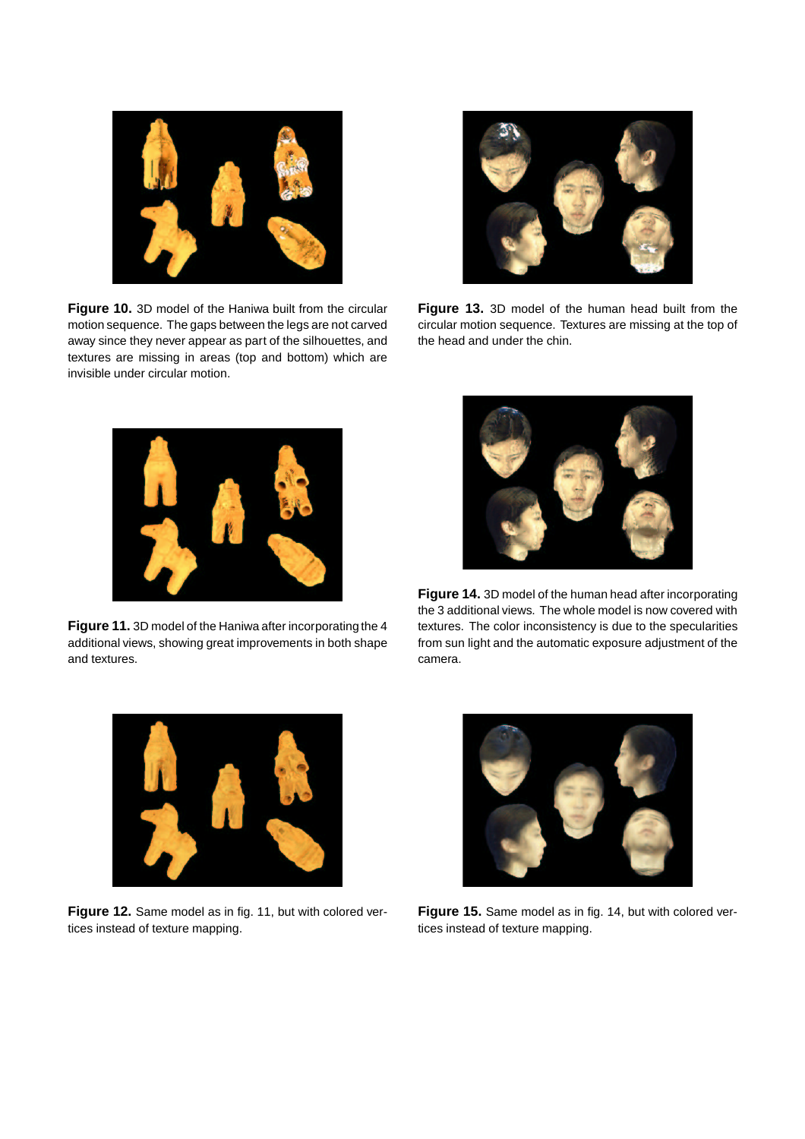

**Figure 10.** 3D model of the Haniwa built from the circular motion sequence. The gaps between the legs are not carved away since they never appear as part of the silhouettes, and textures are missing in areas (top and bottom) which are invisible under circular motion.



**Figure 13.** 3D model of the human head built from the circular motion sequence. Textures are missing at the top of the head and under the chin.



**Figure 11.** 3D model of the Haniwa after incorporating the 4 additional views, showing great improvements in both shape and textures.



**Figure 14.** 3D model of the human head after incorporating the 3 additional views. The whole model is now covered with textures. The color inconsistency is due to the specularities from sun light and the automatic exposure adjustment of the camera.



**Figure 12.** Same model as in fig. 11, but with colored vertices instead of texture mapping.



**Figure 15.** Same model as in fig. 14, but with colored vertices instead of texture mapping.